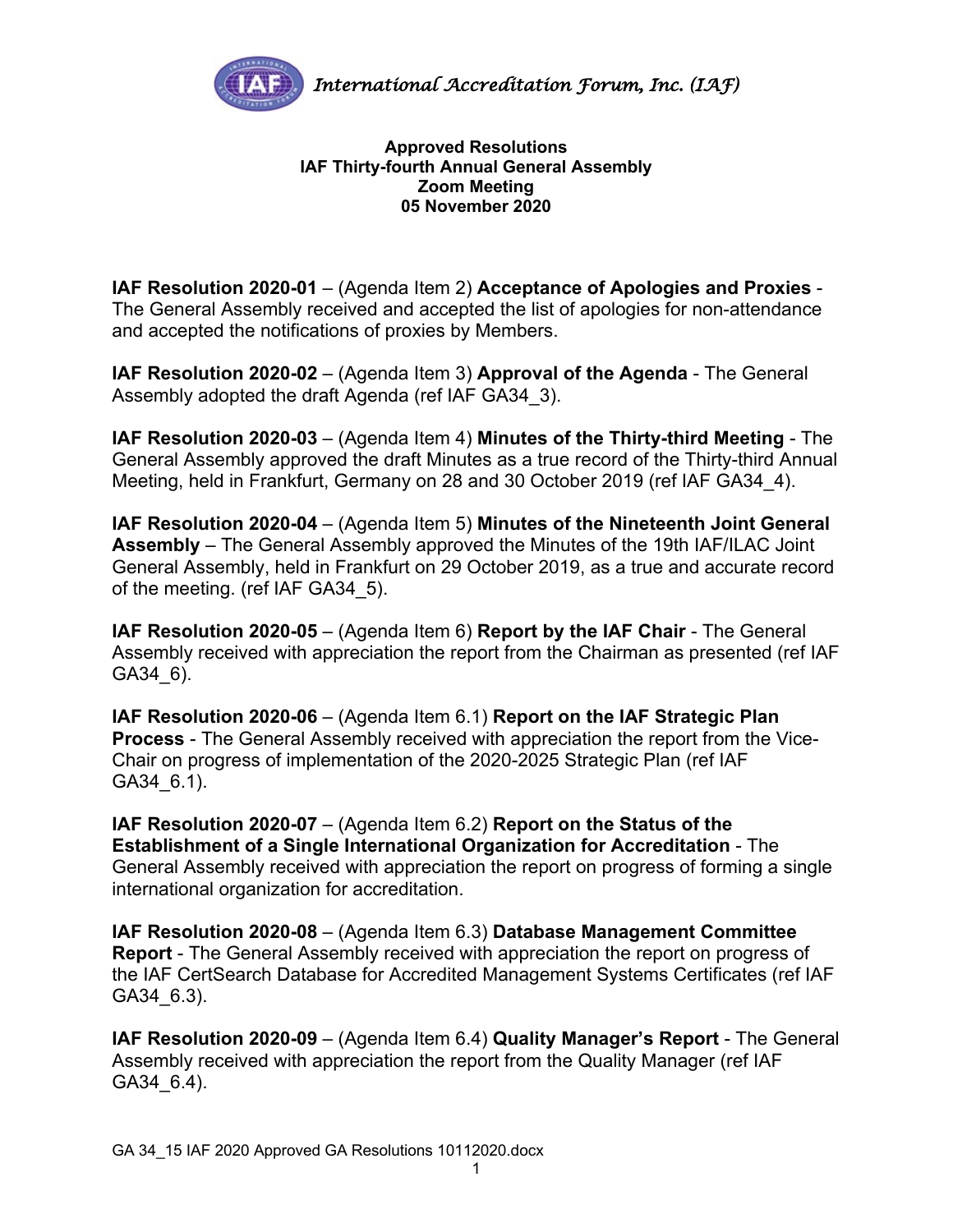

## **Approved Resolutions IAF Thirty-fourth Annual General Assembly Zoom Meeting 05 November 2020**

**IAF Resolution 2020-01** – (Agenda Item 2) **Acceptance of Apologies and Proxies** - The General Assembly received and accepted the list of apologies for non-attendance and accepted the notifications of proxies by Members.

**IAF Resolution 2020-02** – (Agenda Item 3) **Approval of the Agenda** - The General Assembly adopted the draft Agenda (ref IAF GA34\_3).

**IAF Resolution 2020-03** – (Agenda Item 4) **Minutes of the Thirty-third Meeting** - The General Assembly approved the draft Minutes as a true record of the Thirty-third Annual Meeting, held in Frankfurt, Germany on 28 and 30 October 2019 (ref IAF GA34\_4).

**IAF Resolution 2020-04** – (Agenda Item 5) **Minutes of the Nineteenth Joint General Assembly** – The General Assembly approved the Minutes of the 19th IAF/ILAC Joint General Assembly, held in Frankfurt on 29 October 2019, as a true and accurate record of the meeting. (ref IAF GA34\_5).

**IAF Resolution 2020-05** – (Agenda Item 6) **Report by the IAF Chair** - The General Assembly received with appreciation the report from the Chairman as presented (ref IAF GA34\_6).

**IAF Resolution 2020-06** – (Agenda Item 6.1) **Report on the IAF Strategic Plan Process** - The General Assembly received with appreciation the report from the Vice-Chair on progress of implementation of the 2020-2025 Strategic Plan (ref IAF GA34\_6.1).

**IAF Resolution 2020-07** – (Agenda Item 6.2) **Report on the Status of the Establishment of a Single International Organization for Accreditation** - The General Assembly received with appreciation the report on progress of forming a single international organization for accreditation.

**IAF Resolution 2020-08** – (Agenda Item 6.3) **Database Management Committee Report** - The General Assembly received with appreciation the report on progress of the IAF CertSearch Database for Accredited Management Systems Certificates (ref IAF GA34\_6.3).

**IAF Resolution 2020-09** – (Agenda Item 6.4) **Quality Manager's Report** - The General Assembly received with appreciation the report from the Quality Manager (ref IAF GA34\_6.4).

1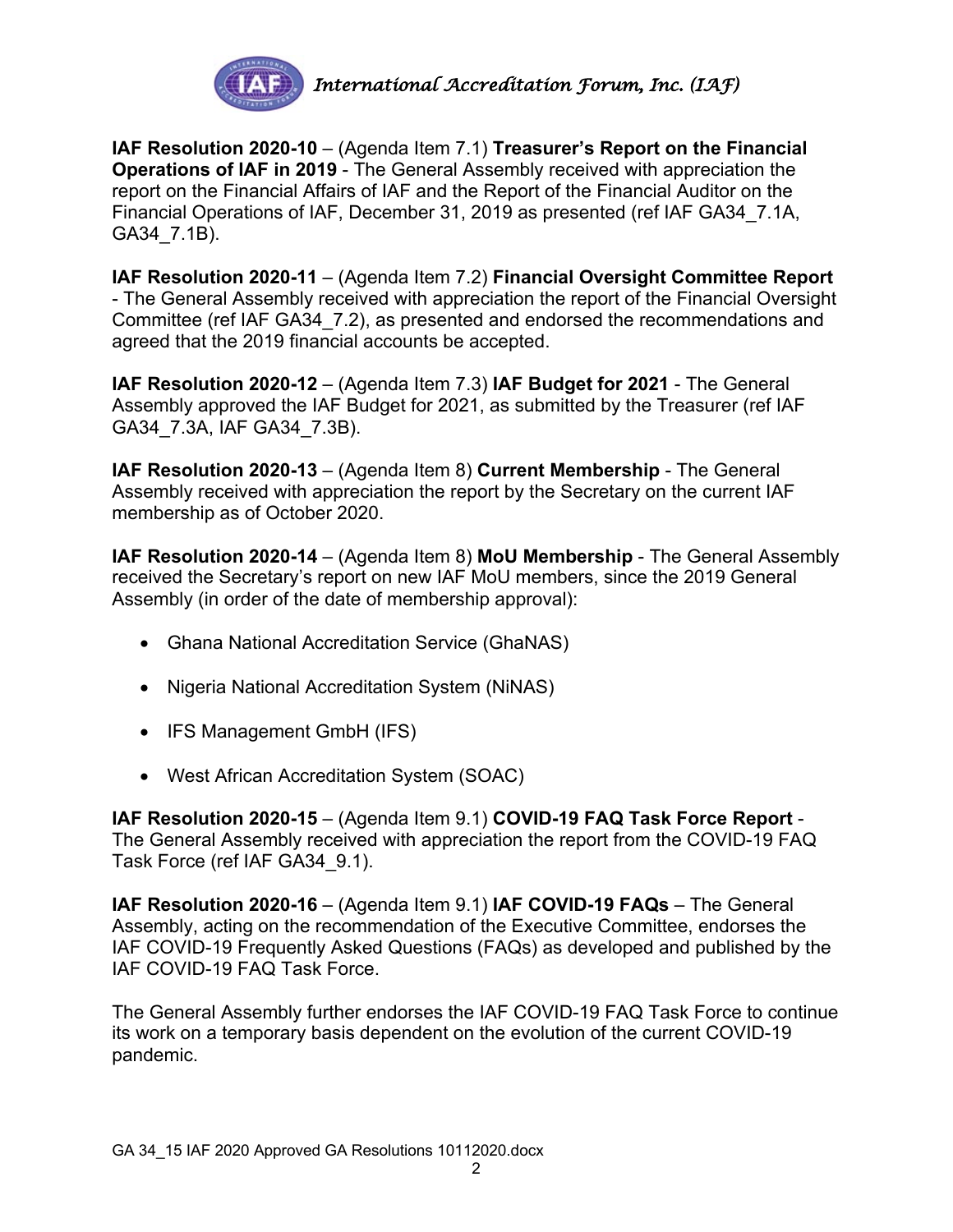

**IAF Resolution 2020-10** – (Agenda Item 7.1) **Treasurer's Report on the Financial Operations of IAF in 2019** - The General Assembly received with appreciation the report on the Financial Affairs of IAF and the Report of the Financial Auditor on the Financial Operations of IAF, December 31, 2019 as presented (ref IAF GA34\_7.1A, GA34\_7.1B).

**IAF Resolution 2020-11** – (Agenda Item 7.2) **Financial Oversight Committee Report** - The General Assembly received with appreciation the report of the Financial Oversight Committee (ref IAF GA34\_7.2), as presented and endorsed the recommendations and agreed that the 2019 financial accounts be accepted.

**IAF Resolution 2020-12** – (Agenda Item 7.3) **IAF Budget for 2021** - The General Assembly approved the IAF Budget for 2021, as submitted by the Treasurer (ref IAF GA34\_7.3A, IAF GA34\_7.3B).

**IAF Resolution 2020-13** – (Agenda Item 8) **Current Membership** - The General Assembly received with appreciation the report by the Secretary on the current IAF membership as of October 2020.

**IAF Resolution 2020-14** – (Agenda Item 8) **MoU Membership** - The General Assembly received the Secretary's report on new IAF MoU members, since the 2019 General Assembly (in order of the date of membership approval):

- Ghana National Accreditation Service (GhaNAS)
- Nigeria National Accreditation System (NiNAS)
- IFS Management GmbH (IFS)
- West African Accreditation System (SOAC)

**IAF Resolution 2020-15** – (Agenda Item 9.1) **COVID-19 FAQ Task Force Report** - The General Assembly received with appreciation the report from the COVID-19 FAQ Task Force (ref IAF GA34\_9.1).

**IAF Resolution 2020-16** – (Agenda Item 9.1) **IAF COVID-19 FAQs** – The General Assembly, acting on the recommendation of the Executive Committee, endorses the IAF COVID-19 Frequently Asked Questions (FAQs) as developed and published by the IAF COVID-19 FAQ Task Force.

The General Assembly further endorses the IAF COVID-19 FAQ Task Force to continue its work on a temporary basis dependent on the evolution of the current COVID-19 pandemic.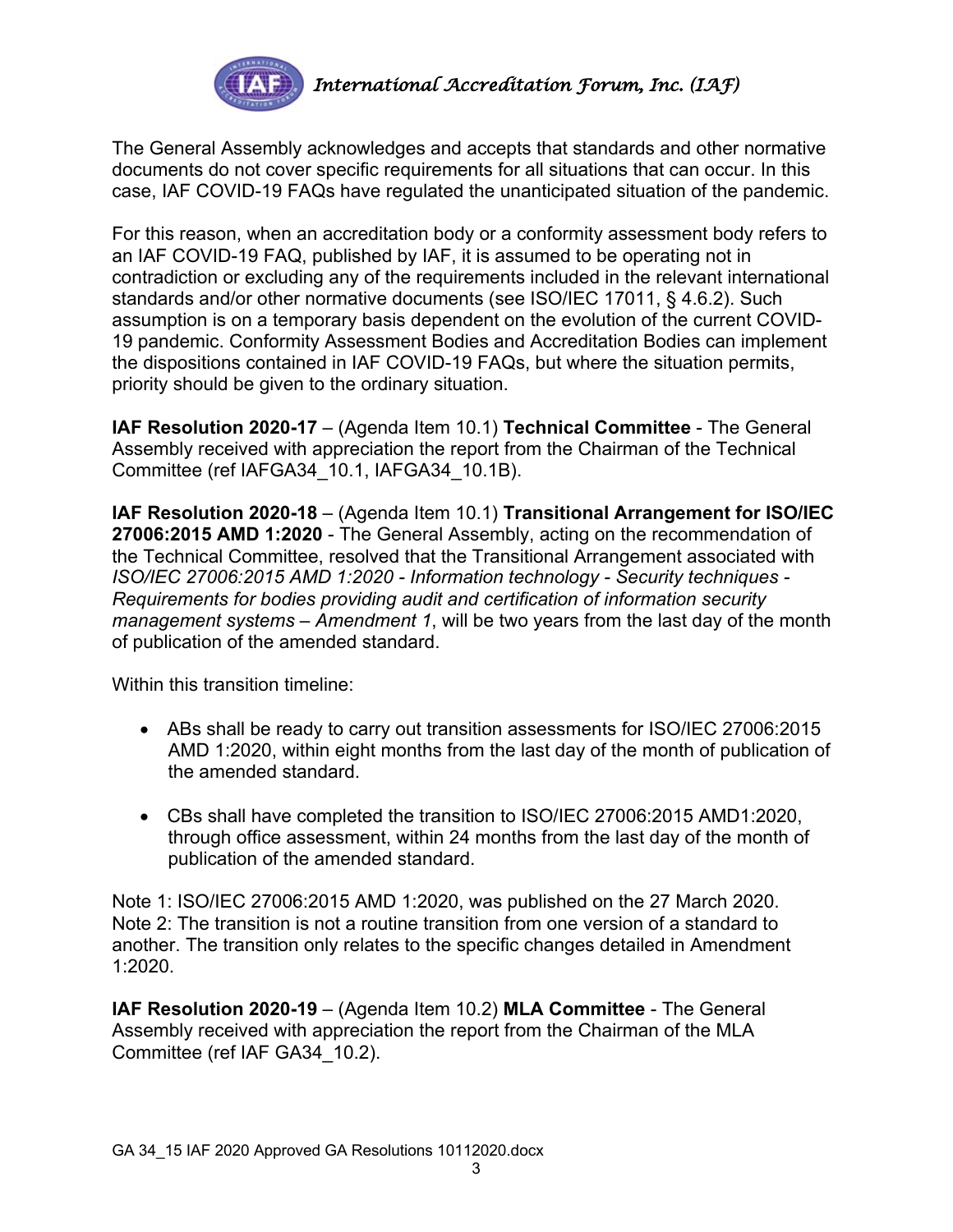

The General Assembly acknowledges and accepts that standards and other normative documents do not cover specific requirements for all situations that can occur. In this case, IAF COVID-19 FAQs have regulated the unanticipated situation of the pandemic.

For this reason, when an accreditation body or a conformity assessment body refers to an IAF COVID-19 FAQ, published by IAF, it is assumed to be operating not in contradiction or excluding any of the requirements included in the relevant international standards and/or other normative documents (see ISO/IEC 17011, § 4.6.2). Such assumption is on a temporary basis dependent on the evolution of the current COVID-19 pandemic. Conformity Assessment Bodies and Accreditation Bodies can implement the dispositions contained in IAF COVID-19 FAQs, but where the situation permits, priority should be given to the ordinary situation.

**IAF Resolution 2020-17** – (Agenda Item 10.1) **Technical Committee** - The General Assembly received with appreciation the report from the Chairman of the Technical Committee (ref IAFGA34\_10.1, IAFGA34\_10.1B).

**IAF Resolution 2020-18** – (Agenda Item 10.1) **Transitional Arrangement for ISO/IEC 27006:2015 AMD 1:2020** - The General Assembly, acting on the recommendation of the Technical Committee, resolved that the Transitional Arrangement associated with *ISO/IEC 27006:2015 AMD 1:2020 - Information technology - Security techniques - Requirements for bodies providing audit and certification of information security management systems – Amendment 1*, will be two years from the last day of the month of publication of the amended standard.

Within this transition timeline:

- ABs shall be ready to carry out transition assessments for ISO/IEC 27006:2015 AMD 1:2020, within eight months from the last day of the month of publication of the amended standard.
- CBs shall have completed the transition to ISO/IEC 27006:2015 AMD1:2020, through office assessment, within 24 months from the last day of the month of publication of the amended standard.

Note 1: ISO/IEC 27006:2015 AMD 1:2020, was published on the 27 March 2020. Note 2: The transition is not a routine transition from one version of a standard to another. The transition only relates to the specific changes detailed in Amendment 1:2020.

**IAF Resolution 2020-19** – (Agenda Item 10.2) **MLA Committee** - The General Assembly received with appreciation the report from the Chairman of the MLA Committee (ref IAF GA34\_10.2).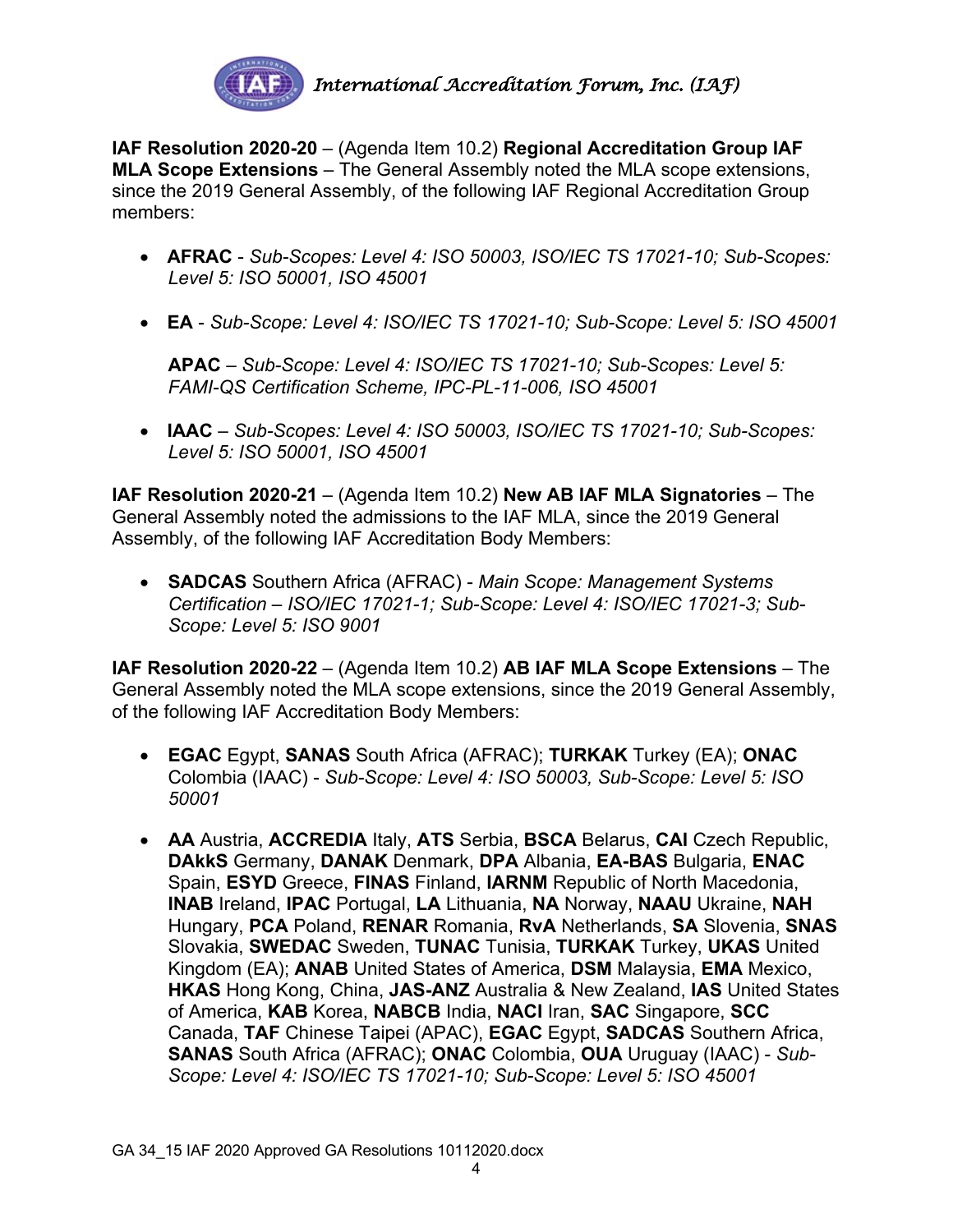

**IAF Resolution 2020-20** – (Agenda Item 10.2) **Regional Accreditation Group IAF MLA Scope Extensions** – The General Assembly noted the MLA scope extensions, since the 2019 General Assembly, of the following IAF Regional Accreditation Group members:

- **AFRAC** *Sub-Scopes: Level 4: ISO 50003, ISO/IEC TS 17021-10; Sub-Scopes: Level 5: ISO 50001, ISO 45001*
- **EA** *Sub-Scope: Level 4: ISO/IEC TS 17021-10; Sub-Scope: Level 5: ISO 45001*

**APAC** – *Sub-Scope: Level 4: ISO/IEC TS 17021-10; Sub-Scopes: Level 5: FAMI-QS Certification Scheme, IPC-PL-11-006, ISO 45001*

• **IAAC** – *Sub-Scopes: Level 4: ISO 50003, ISO/IEC TS 17021-10; Sub-Scopes: Level 5: ISO 50001, ISO 45001*

**IAF Resolution 2020-21** – (Agenda Item 10.2) **New AB IAF MLA Signatories** – The General Assembly noted the admissions to the IAF MLA, since the 2019 General Assembly, of the following IAF Accreditation Body Members:

• **SADCAS** Southern Africa (AFRAC) - *Main Scope: Management Systems Certification – ISO/IEC 17021-1; Sub-Scope: Level 4: ISO/IEC 17021-3; Sub-Scope: Level 5: ISO 9001*

**IAF Resolution 2020-22** – (Agenda Item 10.2) **AB IAF MLA Scope Extensions** – The General Assembly noted the MLA scope extensions, since the 2019 General Assembly, of the following IAF Accreditation Body Members:

- **EGAC** Egypt, **SANAS** South Africa (AFRAC); **TURKAK** Turkey (EA); **ONAC** Colombia (IAAC) - *Sub-Scope: Level 4: ISO 50003, Sub-Scope: Level 5: ISO 50001*
- **AA** Austria, **ACCREDIA** Italy, **ATS** Serbia, **BSCA** Belarus, **CAI** Czech Republic, **DAkkS** Germany, **DANAK** Denmark, **DPA** Albania, **EA-BAS** Bulgaria, **ENAC** Spain, **ESYD** Greece, **FINAS** Finland, **IARNM** Republic of North Macedonia, **INAB** Ireland, **IPAC** Portugal, **LA** Lithuania, **NA** Norway, **NAAU** Ukraine, **NAH** Hungary, **PCA** Poland, **RENAR** Romania, **RvA** Netherlands, **SA** Slovenia, **SNAS**  Slovakia, **SWEDAC** Sweden, **TUNAC** Tunisia, **TURKAK** Turkey, **UKAS** United Kingdom (EA); **ANAB** United States of America, **DSM** Malaysia, **EMA** Mexico, **HKAS** Hong Kong, China, **JAS-ANZ** Australia & New Zealand, **IAS** United States of America, **KAB** Korea, **NABCB** India, **NACI** Iran, **SAC** Singapore, **SCC** Canada, **TAF** Chinese Taipei (APAC), **EGAC** Egypt, **SADCAS** Southern Africa, **SANAS** South Africa (AFRAC); **ONAC** Colombia, **OUA** Uruguay (IAAC) - *Sub-Scope: Level 4: ISO/IEC TS 17021-10; Sub-Scope: Level 5: ISO 45001*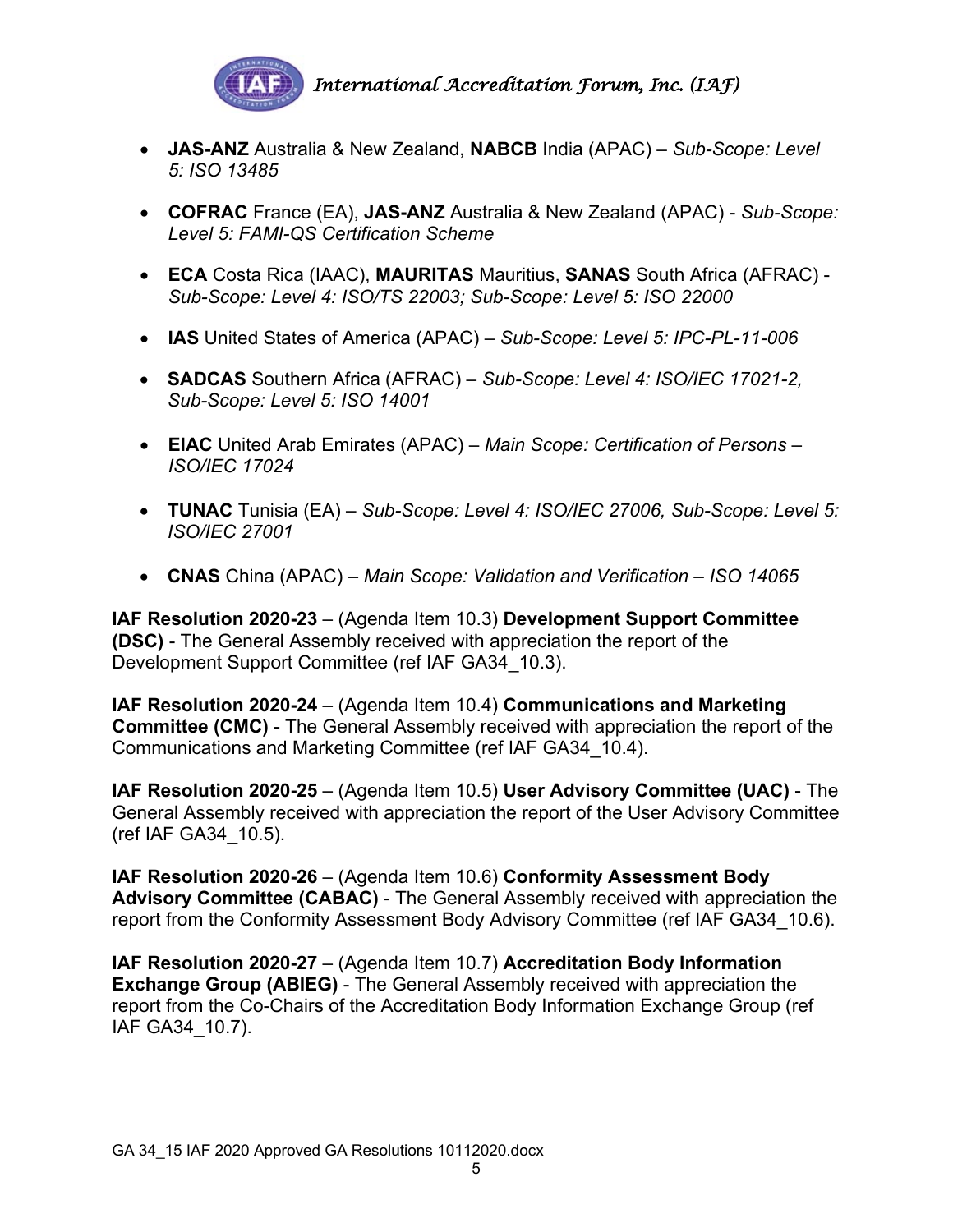

- **JAS-ANZ** Australia & New Zealand, **NABCB** India (APAC) *Sub-Scope: Level 5: ISO 13485*
- **COFRAC** France (EA), **JAS-ANZ** Australia & New Zealand (APAC) *Sub-Scope: Level 5: FAMI-QS Certification Scheme*
- **ECA** Costa Rica (IAAC), **MAURITAS** Mauritius, **SANAS** South Africa (AFRAC) *Sub-Scope: Level 4: ISO/TS 22003; Sub-Scope: Level 5: ISO 22000*
- **IAS** United States of America (APAC) *Sub-Scope: Level 5: IPC-PL-11-006*
- **SADCAS** Southern Africa (AFRAC) *Sub-Scope: Level 4: ISO/IEC 17021-2, Sub-Scope: Level 5: ISO 14001*
- **EIAC** United Arab Emirates (APAC) *Main Scope: Certification of Persons – ISO/IEC 17024*
- **TUNAC** Tunisia (EA) *Sub-Scope: Level 4: ISO/IEC 27006, Sub-Scope: Level 5: ISO/IEC 27001*
- **CNAS** China (APAC) *Main Scope: Validation and Verification – ISO 14065*

**IAF Resolution 2020-23** – (Agenda Item 10.3) **Development Support Committee (DSC)** - The General Assembly received with appreciation the report of the Development Support Committee (ref IAF GA34\_10.3).

**IAF Resolution 2020-24** – (Agenda Item 10.4) **Communications and Marketing Committee (CMC)** - The General Assembly received with appreciation the report of the Communications and Marketing Committee (ref IAF GA34\_10.4).

**IAF Resolution 2020-25** – (Agenda Item 10.5) **User Advisory Committee (UAC)** - The General Assembly received with appreciation the report of the User Advisory Committee (ref IAF GA34\_10.5).

**IAF Resolution 2020-26** – (Agenda Item 10.6) **Conformity Assessment Body Advisory Committee (CABAC)** - The General Assembly received with appreciation the report from the Conformity Assessment Body Advisory Committee (ref IAF GA34\_10.6).

**IAF Resolution 2020-27** – (Agenda Item 10.7) **Accreditation Body Information Exchange Group (ABIEG)** - The General Assembly received with appreciation the report from the Co-Chairs of the Accreditation Body Information Exchange Group (ref IAF GA34\_10.7).

5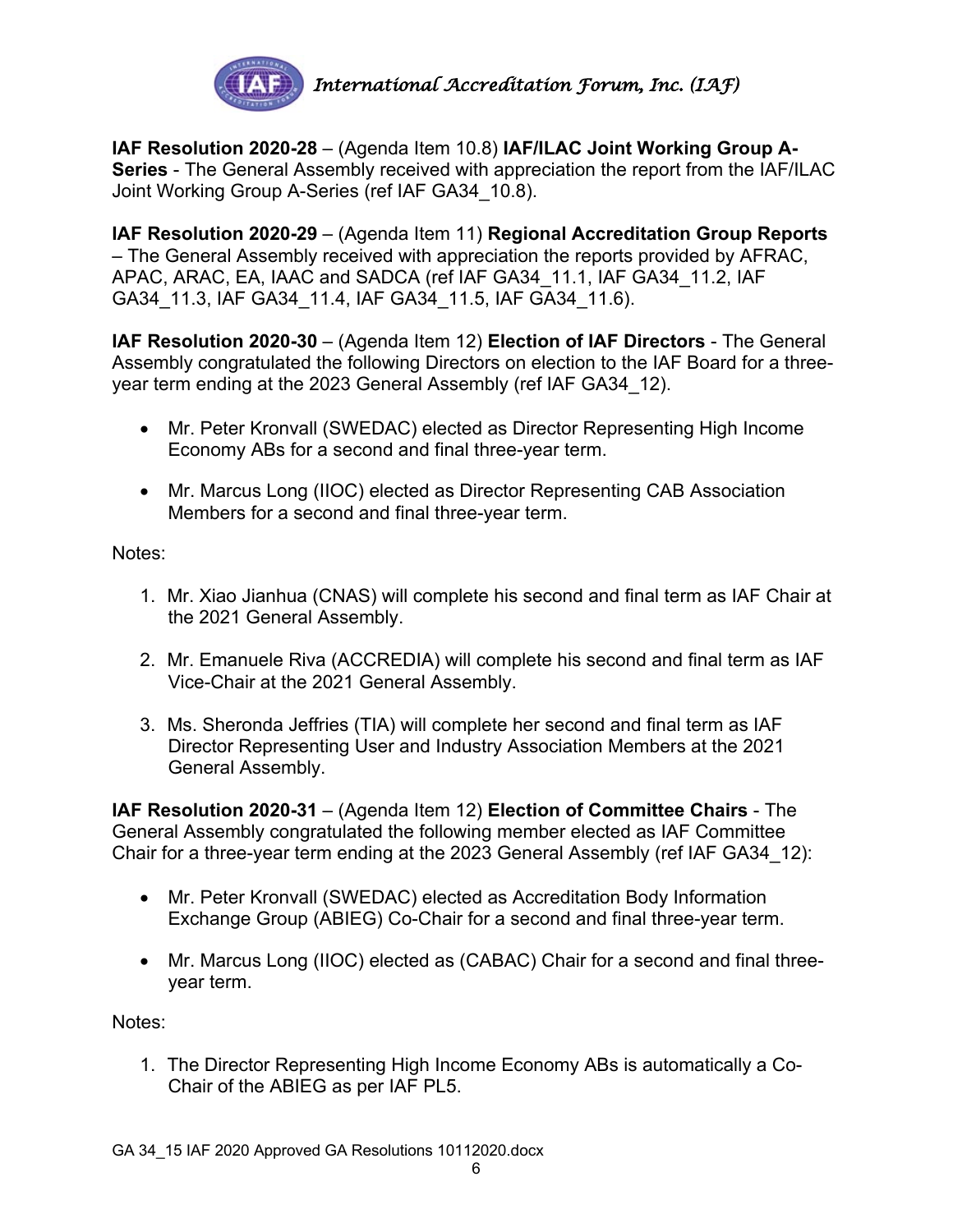

**IAF Resolution 2020-28** – (Agenda Item 10.8) **IAF/ILAC Joint Working Group A-Series** - The General Assembly received with appreciation the report from the IAF/ILAC Joint Working Group A-Series (ref IAF GA34\_10.8).

**IAF Resolution 2020-29** – (Agenda Item 11) **Regional Accreditation Group Reports**  – The General Assembly received with appreciation the reports provided by AFRAC, APAC, ARAC, EA, IAAC and SADCA (ref IAF GA34\_11.1, IAF GA34\_11.2, IAF GA34\_11.3, IAF GA34\_11.4, IAF GA34\_11.5, IAF GA34\_11.6).

**IAF Resolution 2020-30** – (Agenda Item 12) **Election of IAF Directors** - The General Assembly congratulated the following Directors on election to the IAF Board for a threeyear term ending at the 2023 General Assembly (ref IAF GA34\_12).

- Mr. Peter Kronvall (SWEDAC) elected as Director Representing High Income Economy ABs for a second and final three-year term.
- Mr. Marcus Long (IIOC) elected as Director Representing CAB Association Members for a second and final three-year term.

Notes:

- 1. Mr. Xiao Jianhua (CNAS) will complete his second and final term as IAF Chair at the 2021 General Assembly.
- 2. Mr. Emanuele Riva (ACCREDIA) will complete his second and final term as IAF Vice-Chair at the 2021 General Assembly.
- 3. Ms. Sheronda Jeffries (TIA) will complete her second and final term as IAF Director Representing User and Industry Association Members at the 2021 General Assembly.

**IAF Resolution 2020-31** – (Agenda Item 12) **Election of Committee Chairs** - The General Assembly congratulated the following member elected as IAF Committee Chair for a three-year term ending at the 2023 General Assembly (ref IAF GA34\_12):

- Mr. Peter Kronvall (SWEDAC) elected as Accreditation Body Information Exchange Group (ABIEG) Co-Chair for a second and final three-year term.
- Mr. Marcus Long (IIOC) elected as (CABAC) Chair for a second and final threeyear term.

Notes:

1. The Director Representing High Income Economy ABs is automatically a Co-Chair of the ABIEG as per IAF PL5.